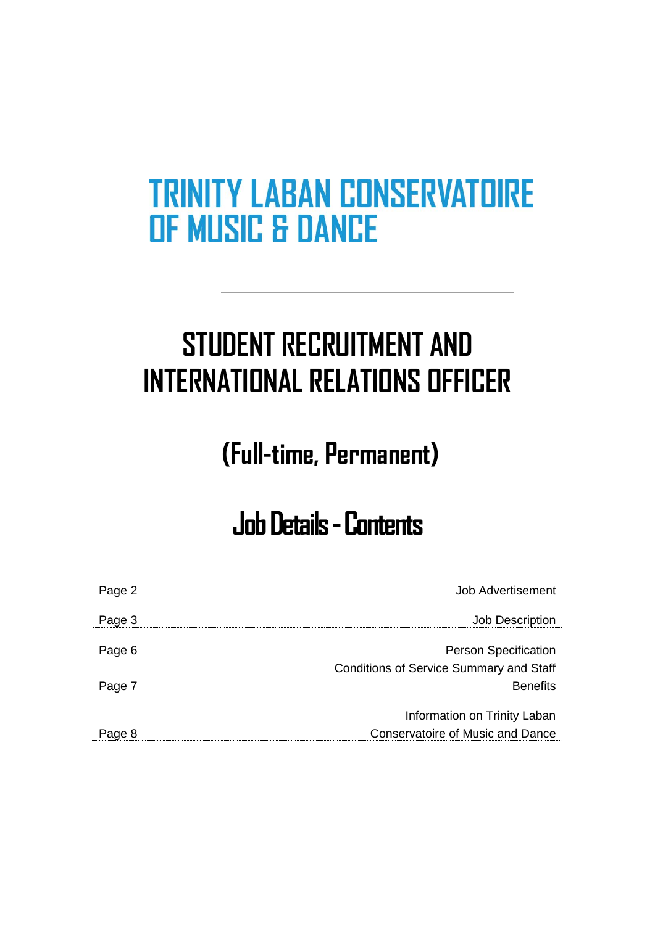# **STUDENT RECRUITMENT AND INTERNATIONAL RELATIONS OFFICER**

## **(Full-time, Permanent)**

## **Job Details -Contents**

| Page 2 | Job Advertisement                              |
|--------|------------------------------------------------|
|        |                                                |
| Page 3 | <b>Job Description</b>                         |
| Page 6 | <b>Person Specification</b>                    |
|        | <b>Conditions of Service Summary and Staff</b> |
| Page 7 | <b>Benefits</b>                                |
|        |                                                |
|        | Information on Trinity Laban                   |
| Page 8 | <b>Conservatoire of Music and Dance</b>        |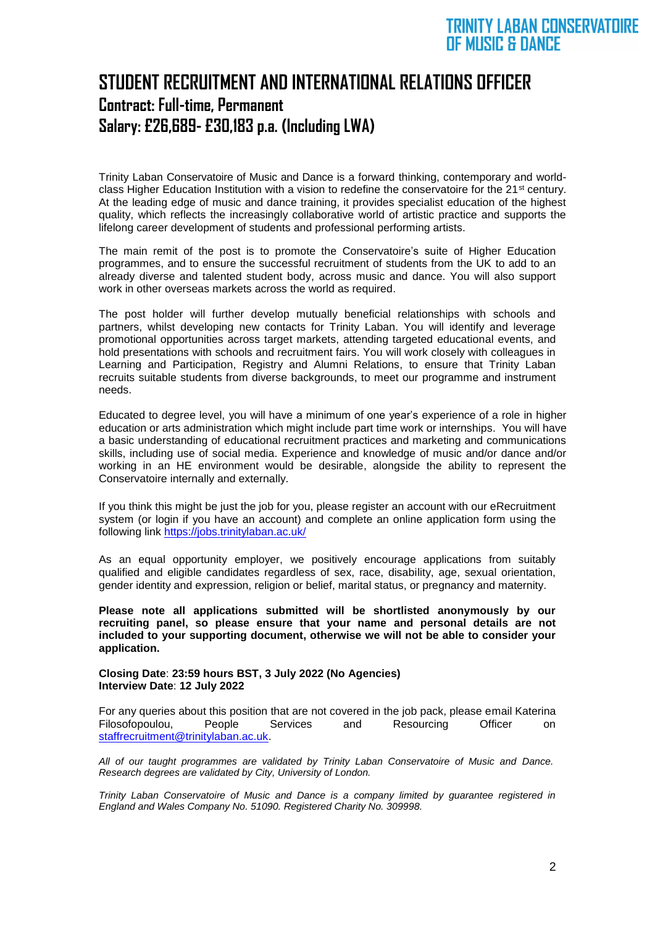## **STUDENT RECRUITMENT AND INTERNATIONAL RELATIONS OFFICER Contract: Full-time, Permanent Salary: £26,689- £30,183 p.a. (Including LWA)**

Trinity Laban Conservatoire of Music and Dance is a forward thinking, contemporary and worldclass Higher Education Institution with a vision to redefine the conservatoire for the 21<sup>st</sup> century. At the leading edge of music and dance training, it provides specialist education of the highest quality, which reflects the increasingly collaborative world of artistic practice and supports the lifelong career development of students and professional performing artists.

The main remit of the post is to promote the Conservatoire's suite of Higher Education programmes, and to ensure the successful recruitment of students from the UK to add to an already diverse and talented student body, across music and dance. You will also support work in other overseas markets across the world as required.

The post holder will further develop mutually beneficial relationships with schools and partners, whilst developing new contacts for Trinity Laban. You will identify and leverage promotional opportunities across target markets, attending targeted educational events, and hold presentations with schools and recruitment fairs. You will work closely with colleagues in Learning and Participation, Registry and Alumni Relations, to ensure that Trinity Laban recruits suitable students from diverse backgrounds, to meet our programme and instrument needs.

Educated to degree level, you will have a minimum of one year's experience of a role in higher education or arts administration which might include part time work or internships. You will have a basic understanding of educational recruitment practices and marketing and communications skills, including use of social media. Experience and knowledge of music and/or dance and/or working in an HE environment would be desirable, alongside the ability to represent the Conservatoire internally and externally.

If you think this might be just the job for you, please register an account with our eRecruitment system (or login if you have an account) and complete an online application form using the following link<https://jobs.trinitylaban.ac.uk/>

As an equal opportunity employer, we positively encourage applications from suitably qualified and eligible candidates regardless of sex, race, disability, age, sexual orientation, gender identity and expression, religion or belief, marital status, or pregnancy and maternity.

**Please note all applications submitted will be shortlisted anonymously by our recruiting panel, so please ensure that your name and personal details are not included to your supporting document, otherwise we will not be able to consider your application.**

**Closing Date**: **23:59 hours BST, 3 July 2022 (No Agencies) Interview Date**: **12 July 2022**

For any queries about this position that are not covered in the job pack, please email Katerina Filosofopoulou, People Services and Resourcing Officer on [staffrecruitment@trinitylaban.ac.uk.](mailto:staffrecruitment@trinitylaban.ac.uk)

*All of our taught programmes are validated by Trinity Laban Conservatoire of Music and Dance. Research degrees are validated by City, University of London.*

*Trinity Laban Conservatoire of Music and Dance is a company limited by guarantee registered in England and Wales Company No. 51090. Registered Charity No. 309998.*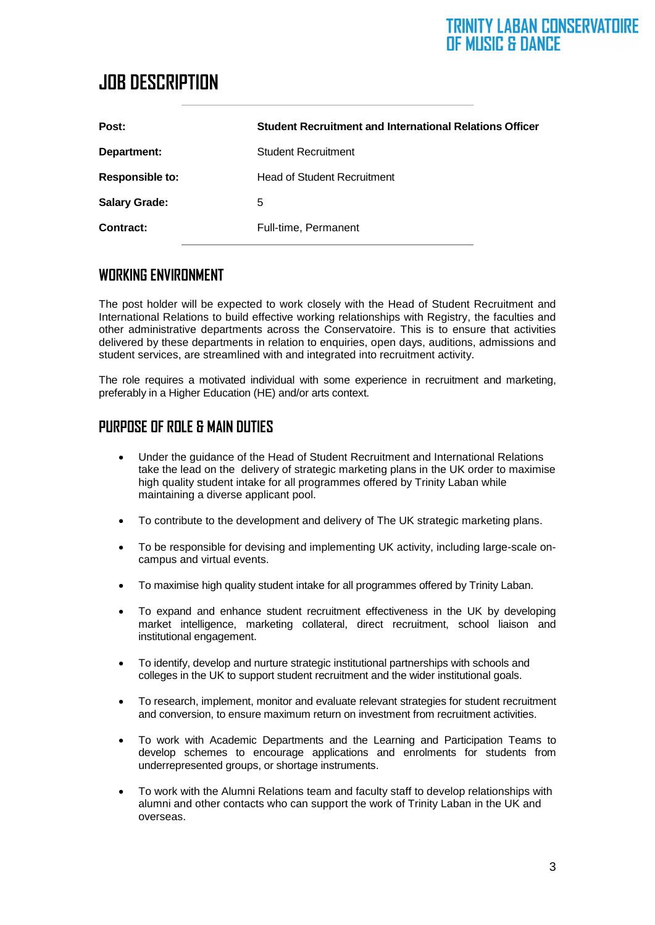## **JOB DESCRIPTION**

| Post:                  | <b>Student Recruitment and International Relations Officer</b> |
|------------------------|----------------------------------------------------------------|
| Department:            | <b>Student Recruitment</b>                                     |
| <b>Responsible to:</b> | <b>Head of Student Recruitment</b>                             |
| <b>Salary Grade:</b>   | 5                                                              |
| Contract:              | Full-time, Permanent                                           |

#### **WORKING ENVIRONMENT**

The post holder will be expected to work closely with the Head of Student Recruitment and International Relations to build effective working relationships with Registry, the faculties and other administrative departments across the Conservatoire. This is to ensure that activities delivered by these departments in relation to enquiries, open days, auditions, admissions and student services, are streamlined with and integrated into recruitment activity.

The role requires a motivated individual with some experience in recruitment and marketing, preferably in a Higher Education (HE) and/or arts context.

#### **PURPOSE OF ROLE & MAIN DUTIES**

- Under the guidance of the Head of Student Recruitment and International Relations take the lead on the delivery of strategic marketing plans in the UK order to maximise high quality student intake for all programmes offered by Trinity Laban while maintaining a diverse applicant pool.
- To contribute to the development and delivery of The UK strategic marketing plans.
- To be responsible for devising and implementing UK activity, including large-scale oncampus and virtual events.
- To maximise high quality student intake for all programmes offered by Trinity Laban.
- To expand and enhance student recruitment effectiveness in the UK by developing market intelligence, marketing collateral, direct recruitment, school liaison and institutional engagement.
- To identify, develop and nurture strategic institutional partnerships with schools and colleges in the UK to support student recruitment and the wider institutional goals.
- To research, implement, monitor and evaluate relevant strategies for student recruitment and conversion, to ensure maximum return on investment from recruitment activities.
- To work with Academic Departments and the Learning and Participation Teams to develop schemes to encourage applications and enrolments for students from underrepresented groups, or shortage instruments.
- To work with the Alumni Relations team and faculty staff to develop relationships with alumni and other contacts who can support the work of Trinity Laban in the UK and overseas.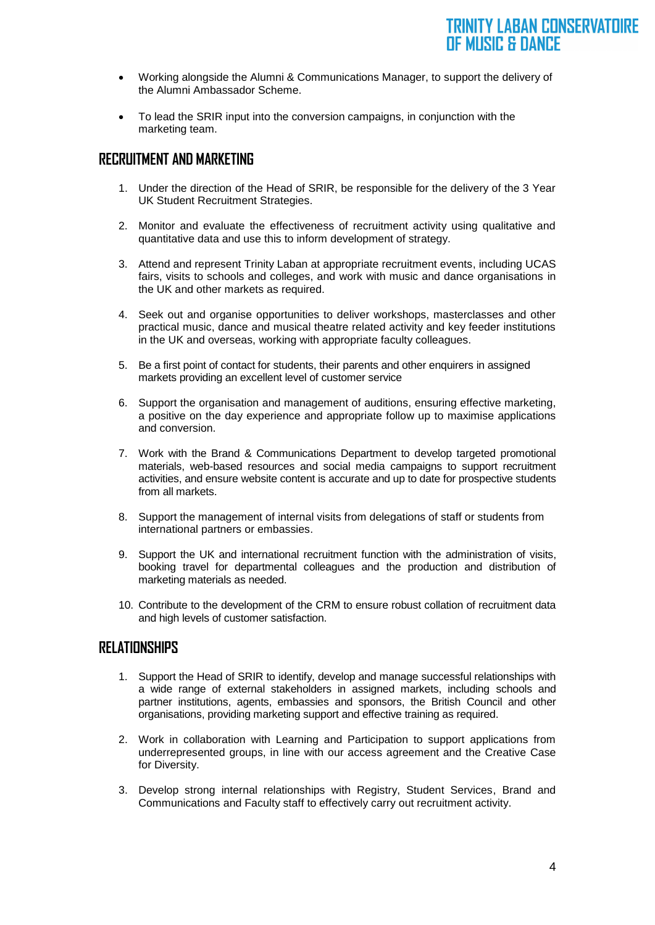- Working alongside the Alumni & Communications Manager, to support the delivery of the Alumni Ambassador Scheme.
- To lead the SRIR input into the conversion campaigns, in conjunction with the marketing team.

#### **RECRUITMENT AND MARKETING**

- 1. Under the direction of the Head of SRIR, be responsible for the delivery of the 3 Year UK Student Recruitment Strategies.
- 2. Monitor and evaluate the effectiveness of recruitment activity using qualitative and quantitative data and use this to inform development of strategy.
- 3. Attend and represent Trinity Laban at appropriate recruitment events, including UCAS fairs, visits to schools and colleges, and work with music and dance organisations in the UK and other markets as required.
- 4. Seek out and organise opportunities to deliver workshops, masterclasses and other practical music, dance and musical theatre related activity and key feeder institutions in the UK and overseas, working with appropriate faculty colleagues.
- 5. Be a first point of contact for students, their parents and other enquirers in assigned markets providing an excellent level of customer service
- 6. Support the organisation and management of auditions, ensuring effective marketing, a positive on the day experience and appropriate follow up to maximise applications and conversion.
- 7. Work with the Brand & Communications Department to develop targeted promotional materials, web-based resources and social media campaigns to support recruitment activities, and ensure website content is accurate and up to date for prospective students from all markets.
- 8. Support the management of internal visits from delegations of staff or students from international partners or embassies.
- 9. Support the UK and international recruitment function with the administration of visits, booking travel for departmental colleagues and the production and distribution of marketing materials as needed.
- 10. Contribute to the development of the CRM to ensure robust collation of recruitment data and high levels of customer satisfaction.

#### **RELATIONSHIPS**

- 1. Support the Head of SRIR to identify, develop and manage successful relationships with a wide range of external stakeholders in assigned markets, including schools and partner institutions, agents, embassies and sponsors, the British Council and other organisations, providing marketing support and effective training as required.
- 2. Work in collaboration with Learning and Participation to support applications from underrepresented groups, in line with our access agreement and the Creative Case for Diversity.
- 3. Develop strong internal relationships with Registry, Student Services, Brand and Communications and Faculty staff to effectively carry out recruitment activity.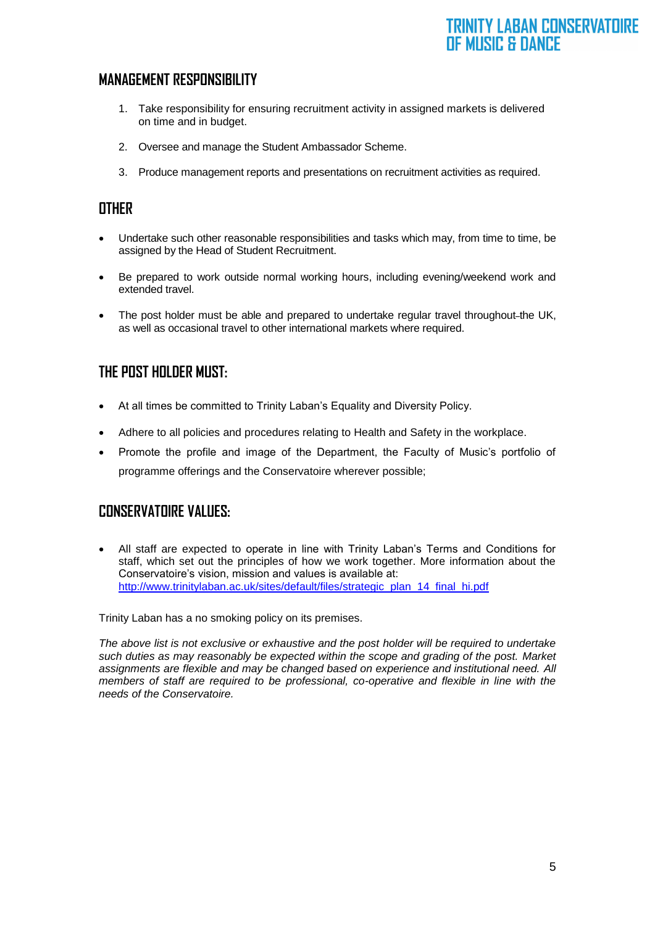#### **MANAGEMENT RESPONSIBILITY**

- 1. Take responsibility for ensuring recruitment activity in assigned markets is delivered on time and in budget.
- 2. Oversee and manage the Student Ambassador Scheme.
- 3. Produce management reports and presentations on recruitment activities as required.

#### **OTHER**

- Undertake such other reasonable responsibilities and tasks which may, from time to time, be assigned by the Head of Student Recruitment.
- Be prepared to work outside normal working hours, including evening/weekend work and extended travel.
- The post holder must be able and prepared to undertake regular travel throughout-the UK, as well as occasional travel to other international markets where required.

#### **THE POST HOLDER MUST:**

- At all times be committed to Trinity Laban's Equality and Diversity Policy.
- Adhere to all policies and procedures relating to Health and Safety in the workplace.
- Promote the profile and image of the Department, the Faculty of Music's portfolio of programme offerings and the Conservatoire wherever possible;

#### **CONSERVATOIRE VALUES:**

• All staff are expected to operate in line with Trinity Laban's Terms and Conditions for staff, which set out the principles of how we work together. More information about the Conservatoire's vision, mission and values is available at: [http://www.trinitylaban.ac.uk/sites/default/files/strategic\\_plan\\_14\\_final\\_hi.pdf](http://www.trinitylaban.ac.uk/sites/default/files/strategic_plan_14_final_hi.pdf)

Trinity Laban has a no smoking policy on its premises.

*The above list is not exclusive or exhaustive and the post holder will be required to undertake such duties as may reasonably be expected within the scope and grading of the post. Market assignments are flexible and may be changed based on experience and institutional need. All members of staff are required to be professional, co-operative and flexible in line with the needs of the Conservatoire.*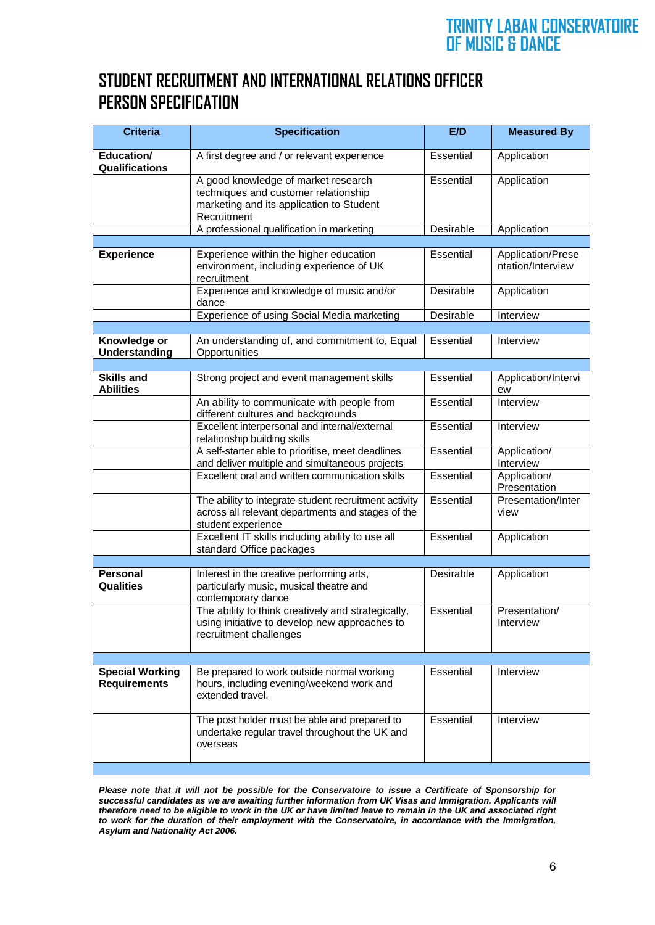## **STUDENT RECRUITMENT AND INTERNATIONAL RELATIONS OFFICER PERSON SPECIFICATION**

| <b>Criteria</b>                               | <b>Specification</b>                                                                                                                   | E/D              | <b>Measured By</b>                     |
|-----------------------------------------------|----------------------------------------------------------------------------------------------------------------------------------------|------------------|----------------------------------------|
| Education/<br>Qualifications                  | A first degree and / or relevant experience                                                                                            | Essential        | Application                            |
|                                               | A good knowledge of market research<br>techniques and customer relationship<br>marketing and its application to Student<br>Recruitment | Essential        | Application                            |
|                                               | A professional qualification in marketing                                                                                              | Desirable        | Application                            |
| <b>Experience</b>                             | Experience within the higher education<br>environment, including experience of UK<br>recruitment                                       | <b>Essential</b> | Application/Prese<br>ntation/Interview |
|                                               | Experience and knowledge of music and/or<br>dance                                                                                      | Desirable        | Application                            |
|                                               | Experience of using Social Media marketing                                                                                             | Desirable        | Interview                              |
| Knowledge or<br><b>Understanding</b>          | An understanding of, and commitment to, Equal<br>Opportunities                                                                         | Essential        | Interview                              |
| <b>Skills and</b>                             | Strong project and event management skills                                                                                             | <b>Essential</b> | Application/Intervi                    |
| <b>Abilities</b>                              |                                                                                                                                        |                  | ew                                     |
|                                               | An ability to communicate with people from<br>different cultures and backgrounds                                                       | <b>Essential</b> | Interview                              |
|                                               | Excellent interpersonal and internal/external<br>relationship building skills                                                          | Essential        | Interview                              |
|                                               | A self-starter able to prioritise, meet deadlines<br>and deliver multiple and simultaneous projects                                    | Essential        | Application/<br>Interview              |
|                                               | Excellent oral and written communication skills                                                                                        | Essential        | Application/<br>Presentation           |
|                                               | The ability to integrate student recruitment activity<br>across all relevant departments and stages of the<br>student experience       | Essential        | Presentation/Inter<br>view             |
|                                               | Excellent IT skills including ability to use all<br>standard Office packages                                                           | Essential        | Application                            |
| <b>Personal</b>                               |                                                                                                                                        |                  |                                        |
| <b>Qualities</b>                              | Interest in the creative performing arts,<br>particularly music, musical theatre and<br>contemporary dance                             | Desirable        | Application                            |
|                                               | The ability to think creatively and strategically,<br>using initiative to develop new approaches to<br>recruitment challenges          | Essential        | Presentation/<br>Interview             |
|                                               |                                                                                                                                        | Essential        | Interview                              |
| <b>Special Working</b><br><b>Requirements</b> | Be prepared to work outside normal working<br>hours, including evening/weekend work and<br>extended travel.                            |                  |                                        |
|                                               | The post holder must be able and prepared to<br>undertake regular travel throughout the UK and<br>overseas                             | Essential        | Interview                              |
|                                               |                                                                                                                                        |                  |                                        |

*Please note that it will not be possible for the Conservatoire to issue a Certificate of Sponsorship for successful candidates as we are awaiting further information from UK Visas and Immigration. Applicants will therefore need to be eligible to work in the UK or have limited leave to remain in the UK and associated right to work for the duration of their employment with the Conservatoire, in accordance with the Immigration, Asylum and Nationality Act 2006.*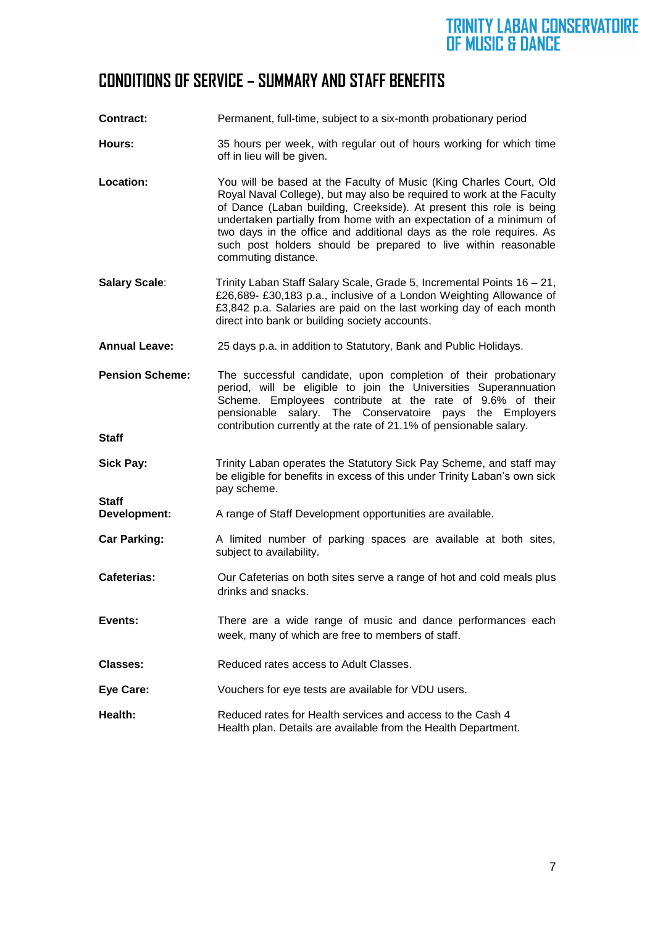## **CONDITIONS OF SERVICE – SUMMARY AND STAFF BENEFITS**

- **Contract:** Permanent, full-time, subject to a six-month probationary period
- **Hours:** 35 hours per week, with regular out of hours working for which time off in lieu will be given.
- **Location:** You will be based at the Faculty of Music (King Charles Court, Old Royal Naval College), but may also be required to work at the Faculty of Dance (Laban building, Creekside). At present this role is being undertaken partially from home with an expectation of a minimum of two days in the office and additional days as the role requires. As such post holders should be prepared to live within reasonable commuting distance.
- **Salary Scale**: Trinity Laban Staff Salary Scale, Grade 5, Incremental Points 16 21, £26,689- £30,183 p.a., inclusive of a London Weighting Allowance of £3,842 p.a. Salaries are paid on the last working day of each month direct into bank or building society accounts.
- **Annual Leave:** 25 days p.a. in addition to Statutory, Bank and Public Holidays.
- **Pension Scheme:** The successful candidate, upon completion of their probationary period, will be eligible to join the Universities Superannuation Scheme. Employees contribute at the rate of 9.6% of their pensionable salary. The Conservatoire pays the Employers contribution currently at the rate of 21.1% of pensionable salary.

**Staff** 

- **Sick Pay: Trinity Laban operates the Statutory Sick Pay Scheme, and staff may** be eligible for benefits in excess of this under Trinity Laban's own sick pay scheme. **Staff**
- **Development:** A range of Staff Development opportunities are available.
- **Car Parking:** A limited number of parking spaces are available at both sites, subject to availability.
- **Cafeterias:** Our Cafeterias on both sites serve a range of hot and cold meals plus drinks and snacks.
- **Events:** There are a wide range of music and dance performances each week, many of which are free to members of staff.
- **Classes:** Reduced rates access to Adult Classes.
- **Eye Care:** Vouchers for eye tests are available for VDU users.
- **Health:** Reduced rates for Health services and access to the Cash 4 Health plan. Details are available from the Health Department.